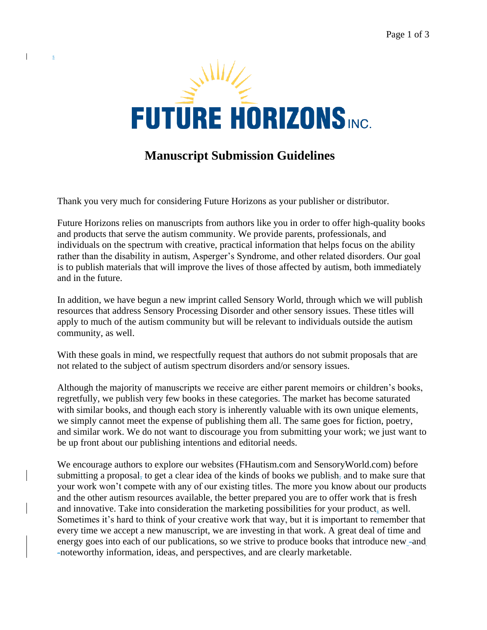

# **Manuscript Submission Guidelines**

Thank you very much for considering Future Horizons as your publisher or distributor.

s

 $\mathbf{I}$ 

Future Horizons relies on manuscripts from authors like you in order to offer high-quality books and products that serve the autism community. We provide parents, professionals, and individuals on the spectrum with creative, practical information that helps focus on the ability rather than the disability in autism, Asperger's Syndrome, and other related disorders. Our goal is to publish materials that will improve the lives of those affected by autism, both immediately and in the future.

In addition, we have begun a new imprint called Sensory World, through which we will publish resources that address Sensory Processing Disorder and other sensory issues. These titles will apply to much of the autism community but will be relevant to individuals outside the autism community, as well.

With these goals in mind, we respectfully request that authors do not submit proposals that are not related to the subject of autism spectrum disorders and/or sensory issues.

Although the majority of manuscripts we receive are either parent memoirs or children's books, regretfully, we publish very few books in these categories. The market has become saturated with similar books, and though each story is inherently valuable with its own unique elements, we simply cannot meet the expense of publishing them all. The same goes for fiction, poetry, and similar work. We do not want to discourage you from submitting your work; we just want to be up front about our publishing intentions and editorial needs.

We encourage authors to explore our websites (FHautism.com and SensoryWorld.com) before submitting a proposal, to get a clear idea of the kinds of books we publish, and to make sure that your work won't compete with any of our existing titles. The more you know about our products and the other autism resources available, the better prepared you are to offer work that is fresh and innovative. Take into consideration the marketing possibilities for your product, as well. Sometimes it's hard to think of your creative work that way, but it is important to remember that every time we accept a new manuscript, we are investing in that work. A great deal of time and energy goes into each of our publications, so we strive to produce books that introduce new -and -noteworthy information, ideas, and perspectives, and are clearly marketable.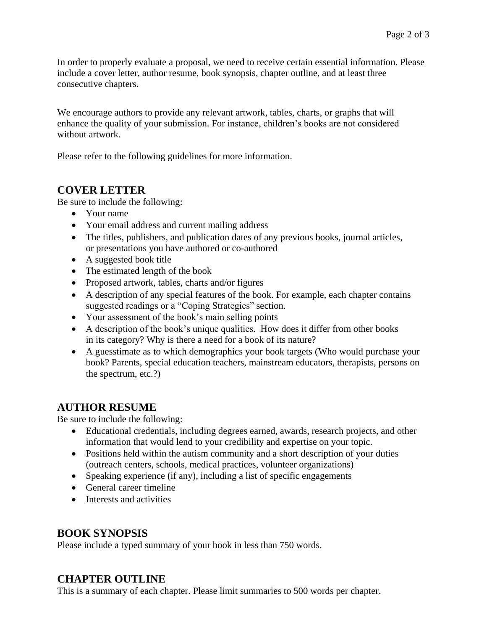In order to properly evaluate a proposal, we need to receive certain essential information. Please include a cover letter, author resume, book synopsis, chapter outline, and at least three consecutive chapters.

We encourage authors to provide any relevant artwork, tables, charts, or graphs that will enhance the quality of your submission. For instance, children's books are not considered without artwork.

Please refer to the following guidelines for more information.

### **COVER LETTER**

Be sure to include the following:

- Your name
- Your email address and current mailing address
- The titles, publishers, and publication dates of any previous books, journal articles, or presentations you have authored or co-authored
- A suggested book title
- The estimated length of the book
- Proposed artwork, tables, charts and/or figures
- A description of any special features of the book. For example, each chapter contains suggested readings or a "Coping Strategies" section.
- Your assessment of the book's main selling points
- A description of the book's unique qualities. How does it differ from other books in its category? Why is there a need for a book of its nature?
- A guesstimate as to which demographics your book targets (Who would purchase your book? Parents, special education teachers, mainstream educators, therapists, persons on the spectrum, etc.?)

### **AUTHOR RESUME**

Be sure to include the following:

- Educational credentials, including degrees earned, awards, research projects, and other information that would lend to your credibility and expertise on your topic.
- Positions held within the autism community and a short description of your duties (outreach centers, schools, medical practices, volunteer organizations)
- Speaking experience (if any), including a list of specific engagements
- General career timeline
- Interests and activities

### **BOOK SYNOPSIS**

Please include a typed summary of your book in less than 750 words.

### **CHAPTER OUTLINE**

This is a summary of each chapter. Please limit summaries to 500 words per chapter.